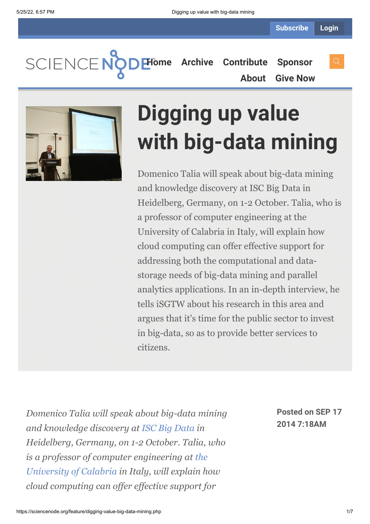**SCIENCEN** 

**[Home](https://sciencenode.org/) [Archive](https://sciencenode.org/archive/index.php) [Contribute](https://sciencenode.org/contribute/index.php) [Sponsor](https://sciencenode.org/sponsor/index.php) [About](https://sciencenode.org/about/index.php) [Give Now](https://sciencenode.org/donate/index.php)**



# **Digging up value with big-data mining**

Domenico Talia will speak about big-data mining and knowledge discovery at ISC Big Data in Heidelberg, Germany, on 1-2 October. Talia, who is a professor of computer engineering at the University of Calabria in Italy, will explain how cloud computing can offer effective support for addressing both the computational and datastorage needs of big-data mining and parallel analytics applications. In an in-depth interview, he tells iSGTW about his research in this area and argues that it's time for the public sector to invest in big-data, so as to provide better services to citizens.

*Domenico Talia will speak about big-data mining and knowledge discovery at [ISC Big Data](http://www.isc-events.com/bigdata14/) in Heidelberg, Germany, on 1-2 October. Talia, who [is a professor of computer engineering at the](http://www.unical.it/portale/international/) University of Calabria in Italy, will explain how cloud computing can offer effective support for*

**Posted on SEP 17 2014 7:18AM**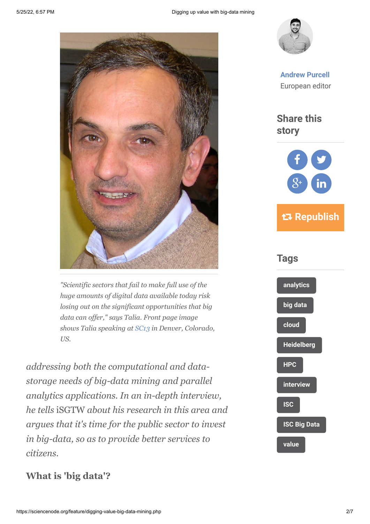

*"Scientific sectors that fail to make full use of the huge amounts of digital data available today risk losing out on the significant opportunities that big data can offer," says Talia. Front page image shows Talia speaking at [SC13](http://sc13.supercomputing.org/) in Denver, Colorado, US.*

*addressing both the computational and datastorage needs of big-data mining and parallel analytics applications. In an in-depth interview, he tells* iSGTW *about his research in this area and argues that it's time for the public sector to invest in big-data, so as to provide better services to citizens.*



**[Andrew Purcell](https://sciencenode.org/author/andrew-purcell.php)** European editor

**Share this story**





#### **What is 'big data'?**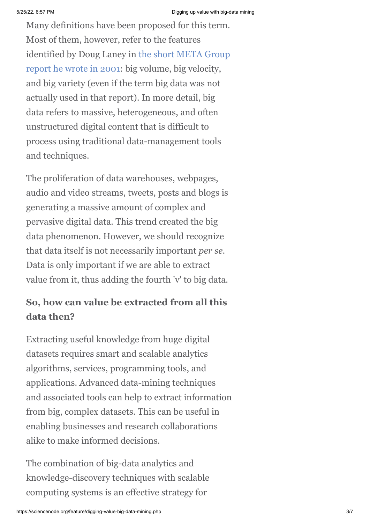Many definitions have been proposed for this term. Most of them, however, refer to the features [identified by Doug Laney in the short META Group](http://blogs.gartner.com/doug-laney/files/2012/01/ad949-3D-Data-Management-Controlling-Data-Volume-Velocity-and-Variety.pdf) report he wrote in 2001: big volume, big velocity, and big variety (even if the term big data was not actually used in that report). In more detail, big data refers to massive, heterogeneous, and often unstructured digital content that is difficult to process using traditional data-management tools and techniques.

The proliferation of data warehouses, webpages, audio and video streams, tweets, posts and blogs is generating a massive amount of complex and pervasive digital data. This trend created the big data phenomenon. However, we should recognize that data itself is not necessarily important *per se*. Data is only important if we are able to extract value from it, thus adding the fourth 'v' to big data.

## **So, how can value be extracted from all this data then?**

Extracting useful knowledge from huge digital datasets requires smart and scalable analytics algorithms, services, programming tools, and applications. Advanced data-mining techniques and associated tools can help to extract information from big, complex datasets. This can be useful in enabling businesses and research collaborations alike to make informed decisions.

The combination of big-data analytics and knowledge-discovery techniques with scalable computing systems is an effective strategy for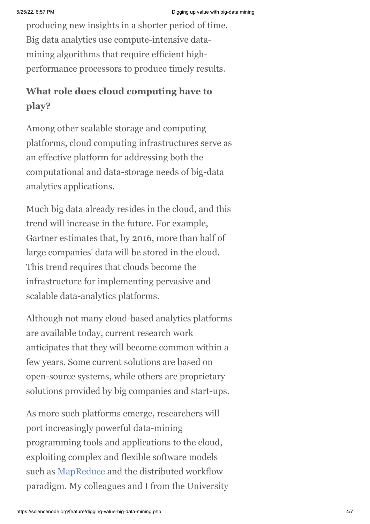producing new insights in a shorter period of time. Big data analytics use compute-intensive datamining algorithms that require efficient highperformance processors to produce timely results.

## **What role does cloud computing have to play?**

Among other scalable storage and computing platforms, cloud computing infrastructures serve as an effective platform for addressing both the computational and data-storage needs of big-data analytics applications.

Much big data already resides in the cloud, and this trend will increase in the future. For example, Gartner estimates that, by 2016, more than half of large companies' data will be stored in the cloud. This trend requires that clouds become the infrastructure for implementing pervasive and scalable data-analytics platforms.

Although not many cloud-based analytics platforms are available today, current research work anticipates that they will become common within a few years. Some current solutions are based on open-source systems, while others are proprietary solutions provided by big companies and start-ups.

As more such platforms emerge, researchers will port increasingly powerful data-mining programming tools and applications to the cloud, exploiting complex and flexible software models such as [MapReduce](http://en.wikipedia.org/wiki/MapReduce) and the distributed workflow paradigm. My colleagues and I from the University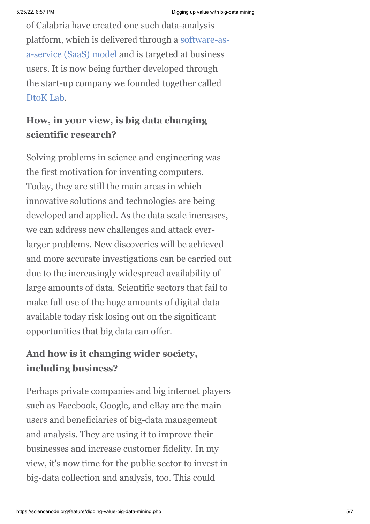of Calabria have created one such data-analysis [platform, which is delivered through a software-as](http://en.wikipedia.org/wiki/Software_as_a_service)a-service (SaaS) model and is targeted at business users. It is now being further developed through the start-up company we founded together called [DtoK Lab.](http://scalabledataanalytics.com/)

## **How, in your view, is big data changing scientific research?**

Solving problems in science and engineering was the first motivation for inventing computers. Today, they are still the main areas in which innovative solutions and technologies are being developed and applied. As the data scale increases, we can address new challenges and attack everlarger problems. New discoveries will be achieved and more accurate investigations can be carried out due to the increasingly widespread availability of large amounts of data. Scientific sectors that fail to make full use of the huge amounts of digital data available today risk losing out on the significant opportunities that big data can offer.

## **And how is it changing wider society, including business?**

Perhaps private companies and big internet players such as Facebook, Google, and eBay are the main users and beneficiaries of big-data management and analysis. They are using it to improve their businesses and increase customer fidelity. In my view, it's now time for the public sector to invest in big-data collection and analysis, too. This could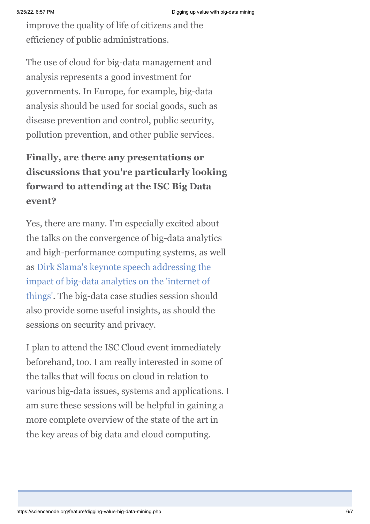improve the quality of life of citizens and the efficiency of public administrations.

The use of cloud for big-data management and analysis represents a good investment for governments. In Europe, for example, big-data analysis should be used for social goods, such as disease prevention and control, public security, pollution prevention, and other public services.

## **Finally, are there any presentations or discussions that you're particularly looking forward to attending at the ISC Big Data event?**

Yes, there are many. I'm especially excited about the talks on the convergence of big-data analytics and high-performance computing systems, as well [as Dirk Slama's keynote speech addressing the](http://www.isc-events.com/bigdata14/keynote-the-internet-of-things.html) impact of big-data analytics on the 'internet of things'. The big-data case studies session should also provide some useful insights, as should the sessions on security and privacy.

I plan to attend the ISC Cloud event immediately beforehand, too. I am really interested in some of the talks that will focus on cloud in relation to various big-data issues, systems and applications. I am sure these sessions will be helpful in gaining a more complete overview of the state of the art in the key areas of big data and cloud computing.